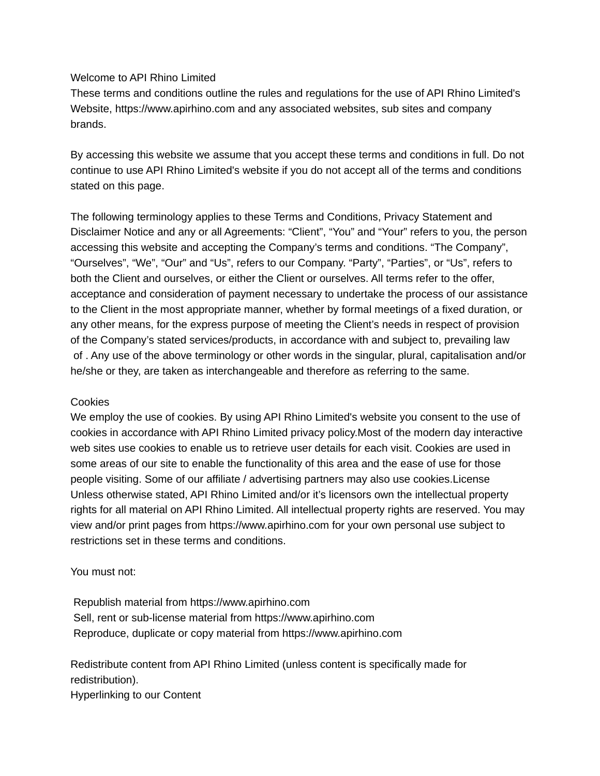## Welcome to API Rhino Limited

These terms and conditions outline the rules and regulations for the use of API Rhino Limited's Website, https://www.apirhino.com and any associated websites, sub sites and company brands.

By accessing this website we assume that you accept these terms and conditions in full. Do not continue to use API Rhino Limited's website if you do not accept all of the terms and conditions stated on this page.

The following terminology applies to these Terms and Conditions, Privacy Statement and Disclaimer Notice and any or all Agreements: "Client", "You" and "Your" refers to you, the person accessing this website and accepting the Company's terms and conditions. "The Company", "Ourselves", "We", "Our" and "Us", refers to our Company. "Party", "Parties", or "Us", refers to both the Client and ourselves, or either the Client or ourselves. All terms refer to the offer, acceptance and consideration of payment necessary to undertake the process of our assistance to the Client in the most appropriate manner, whether by formal meetings of a fixed duration, or any other means, for the express purpose of meeting the Client's needs in respect of provision of the Company's stated services/products, in accordance with and subject to, prevailing law of . Any use of the above terminology or other words in the singular, plural, capitalisation and/or he/she or they, are taken as interchangeable and therefore as referring to the same.

## Cookies

We employ the use of cookies. By using API Rhino Limited's website you consent to the use of cookies in accordance with API Rhino Limited privacy policy.Most of the modern day interactive web sites use cookies to enable us to retrieve user details for each visit. Cookies are used in some areas of our site to enable the functionality of this area and the ease of use for those people visiting. Some of our affiliate / advertising partners may also use cookies.License Unless otherwise stated, API Rhino Limited and/or it's licensors own the intellectual property rights for all material on API Rhino Limited. All intellectual property rights are reserved. You may view and/or print pages from https://www.apirhino.com for your own personal use subject to restrictions set in these terms and conditions.

## You must not:

Republish material from https://www.apirhino.com Sell, rent or sub-license material from https://www.apirhino.com Reproduce, duplicate or copy material from https://www.apirhino.com

Redistribute content from API Rhino Limited (unless content is specifically made for redistribution).

Hyperlinking to our Content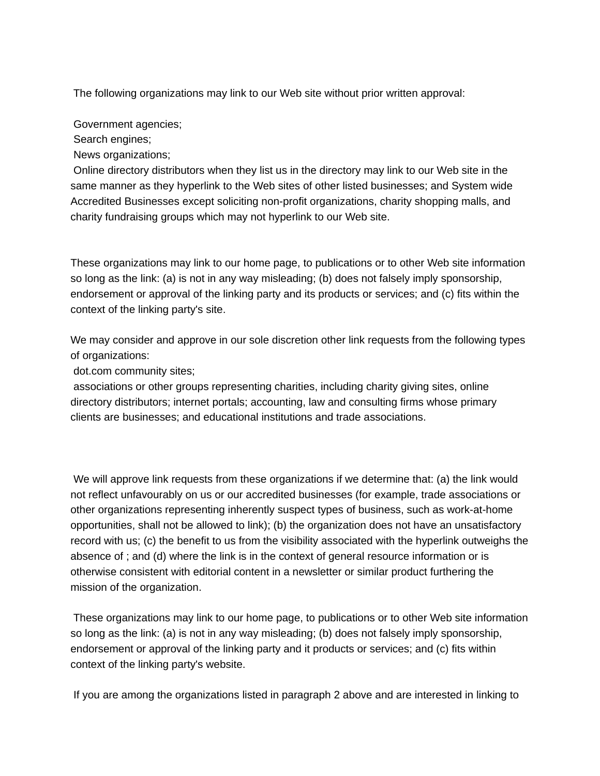The following organizations may link to our Web site without prior written approval:

Government agencies;

Search engines;

News organizations;

Online directory distributors when they list us in the directory may link to our Web site in the same manner as they hyperlink to the Web sites of other listed businesses; and System wide Accredited Businesses except soliciting non-profit organizations, charity shopping malls, and charity fundraising groups which may not hyperlink to our Web site.

These organizations may link to our home page, to publications or to other Web site information so long as the link: (a) is not in any way misleading; (b) does not falsely imply sponsorship, endorsement or approval of the linking party and its products or services; and (c) fits within the context of the linking party's site.

We may consider and approve in our sole discretion other link requests from the following types of organizations:

dot.com community sites;

associations or other groups representing charities, including charity giving sites, online directory distributors; internet portals; accounting, law and consulting firms whose primary clients are businesses; and educational institutions and trade associations.

We will approve link requests from these organizations if we determine that: (a) the link would not reflect unfavourably on us or our accredited businesses (for example, trade associations or other organizations representing inherently suspect types of business, such as work-at-home opportunities, shall not be allowed to link); (b) the organization does not have an unsatisfactory record with us; (c) the benefit to us from the visibility associated with the hyperlink outweighs the absence of ; and (d) where the link is in the context of general resource information or is otherwise consistent with editorial content in a newsletter or similar product furthering the mission of the organization.

These organizations may link to our home page, to publications or to other Web site information so long as the link: (a) is not in any way misleading; (b) does not falsely imply sponsorship, endorsement or approval of the linking party and it products or services; and (c) fits within context of the linking party's website.

If you are among the organizations listed in paragraph 2 above and are interested in linking to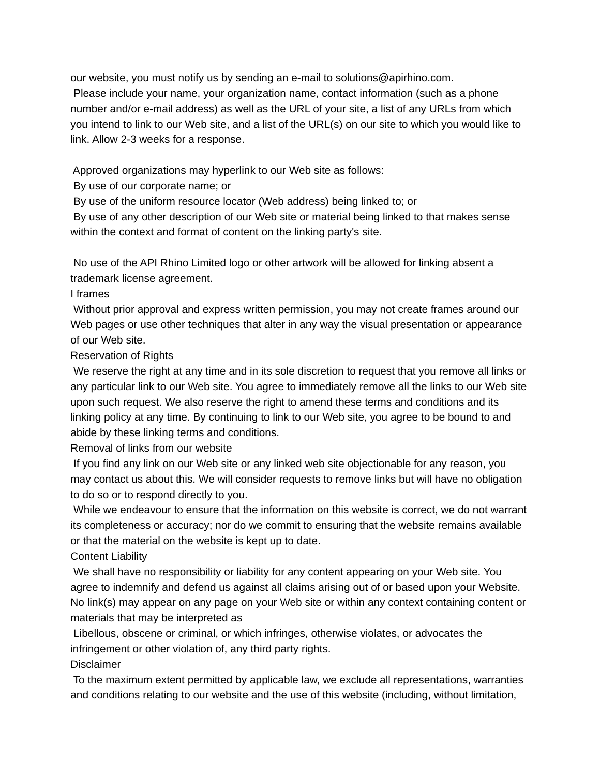our website, you must notify us by sending an e-mail to solutions@apirhino.com. Please include your name, your organization name, contact information (such as a phone number and/or e-mail address) as well as the URL of your site, a list of any URLs from which you intend to link to our Web site, and a list of the URL(s) on our site to which you would like to link. Allow 2-3 weeks for a response.

Approved organizations may hyperlink to our Web site as follows:

By use of our corporate name; or

By use of the uniform resource locator (Web address) being linked to; or

By use of any other description of our Web site or material being linked to that makes sense within the context and format of content on the linking party's site.

No use of the API Rhino Limited logo or other artwork will be allowed for linking absent a trademark license agreement.

## I frames

Without prior approval and express written permission, you may not create frames around our Web pages or use other techniques that alter in any way the visual presentation or appearance of our Web site.

Reservation of Rights

We reserve the right at any time and in its sole discretion to request that you remove all links or any particular link to our Web site. You agree to immediately remove all the links to our Web site upon such request. We also reserve the right to amend these terms and conditions and its linking policy at any time. By continuing to link to our Web site, you agree to be bound to and abide by these linking terms and conditions.

Removal of links from our website

If you find any link on our Web site or any linked web site objectionable for any reason, you may contact us about this. We will consider requests to remove links but will have no obligation to do so or to respond directly to you.

While we endeavour to ensure that the information on this website is correct, we do not warrant its completeness or accuracy; nor do we commit to ensuring that the website remains available or that the material on the website is kept up to date.

Content Liability

We shall have no responsibility or liability for any content appearing on your Web site. You agree to indemnify and defend us against all claims arising out of or based upon your Website. No link(s) may appear on any page on your Web site or within any context containing content or materials that may be interpreted as

Libellous, obscene or criminal, or which infringes, otherwise violates, or advocates the infringement or other violation of, any third party rights.

Disclaimer

To the maximum extent permitted by applicable law, we exclude all representations, warranties and conditions relating to our website and the use of this website (including, without limitation,